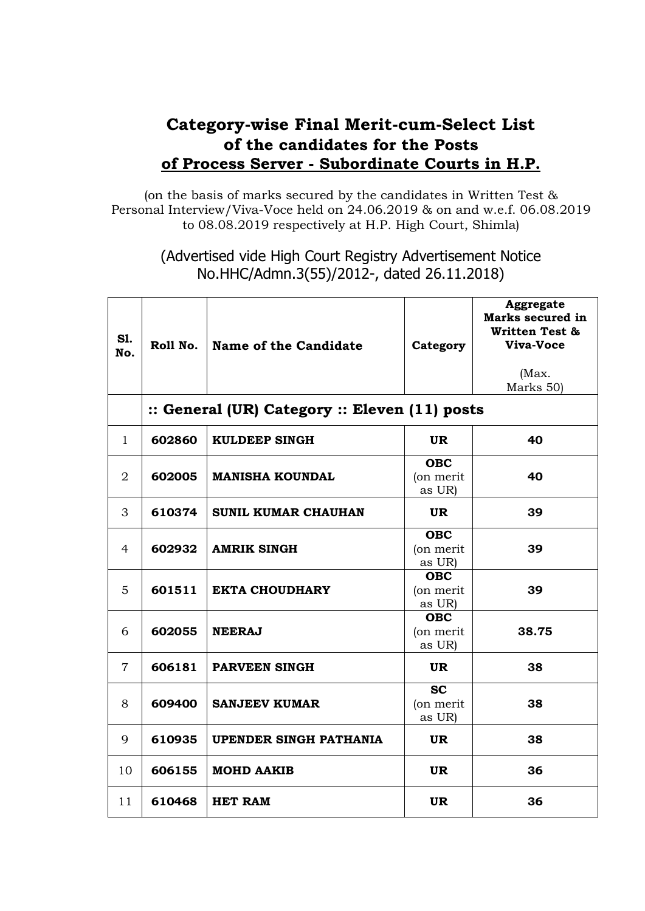## **Category-wise Final Merit-cum-Select List of the candidates for the Posts of Process Server - Subordinate Courts in H.P.**

(on the basis of marks secured by the candidates in Written Test & Personal Interview/Viva-Voce held on 24.06.2019 & on and w.e.f. 06.08.2019 to 08.08.2019 respectively at H.P. High Court, Shimla)

> (Advertised vide High Court Registry Advertisement Notice No.HHC/Admn.3(55)/2012-, dated 26.11.2018)

| S1.<br>No.     | Roll No.                                      | Name of the Candidate         | Category                          | Aggregate<br>Marks secured in<br><b>Written Test &amp;</b><br>Viva-Voce<br>(Max.<br>Marks 50) |  |  |  |
|----------------|-----------------------------------------------|-------------------------------|-----------------------------------|-----------------------------------------------------------------------------------------------|--|--|--|
|                | :: General (UR) Category :: Eleven (11) posts |                               |                                   |                                                                                               |  |  |  |
| $\mathbf{1}$   | 602860                                        | <b>KULDEEP SINGH</b>          | <b>UR</b>                         | 40                                                                                            |  |  |  |
| $\overline{2}$ | 602005                                        | <b>MANISHA KOUNDAL</b>        | <b>OBC</b><br>(on merit<br>as UR) | 40                                                                                            |  |  |  |
| 3              | 610374                                        | <b>SUNIL KUMAR CHAUHAN</b>    | <b>UR</b>                         | 39                                                                                            |  |  |  |
| 4              | 602932                                        | <b>AMRIK SINGH</b>            | <b>OBC</b><br>(on merit<br>as UR) | 39                                                                                            |  |  |  |
| 5              | 601511                                        | <b>EKTA CHOUDHARY</b>         | <b>OBC</b><br>(on merit<br>as UR) | 39                                                                                            |  |  |  |
| 6              | 602055                                        | <b>NEERAJ</b>                 | <b>OBC</b><br>(on merit<br>as UR) | 38.75                                                                                         |  |  |  |
| 7              | 606181                                        | <b>PARVEEN SINGH</b>          | <b>UR</b>                         | 38                                                                                            |  |  |  |
| 8              | 609400                                        | <b>SANJEEV KUMAR</b>          | <b>SC</b><br>(on merit<br>as UR)  | 38                                                                                            |  |  |  |
| 9              | 610935                                        | <b>UPENDER SINGH PATHANIA</b> | <b>UR</b>                         | 38                                                                                            |  |  |  |
| 10             | 606155                                        | <b>MOHD AAKIB</b>             | UR.                               | 36                                                                                            |  |  |  |
| 11             | 610468                                        | <b>HET RAM</b>                | UR.                               | 36                                                                                            |  |  |  |